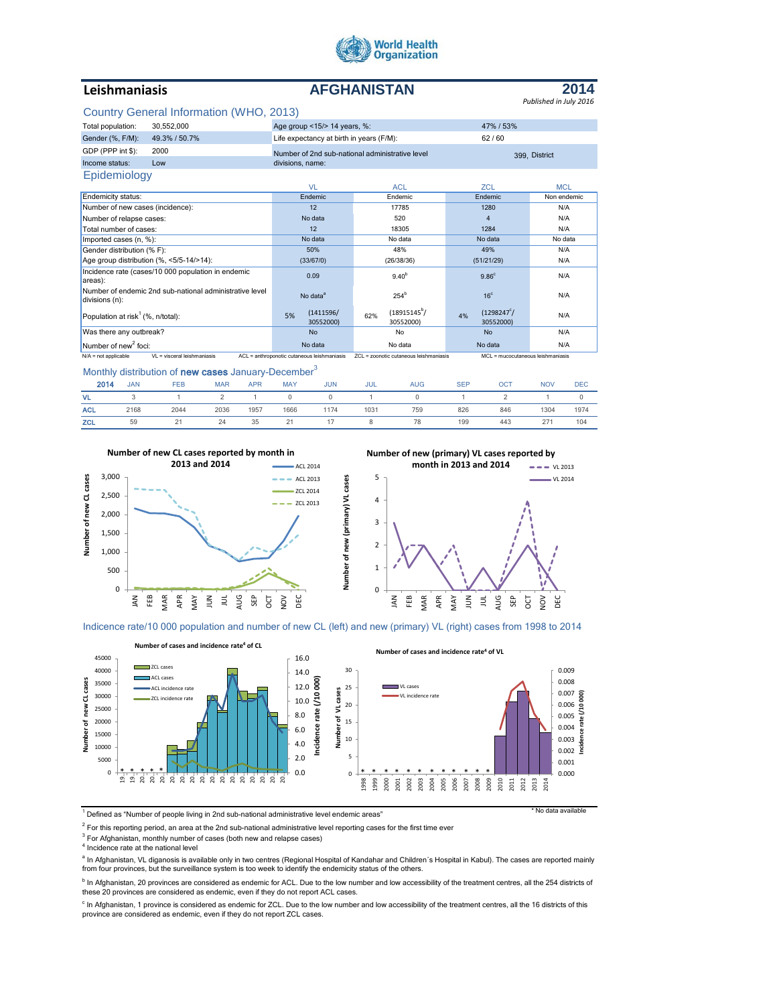

# **Leishmaniasis AFGHANISTAN**



# Country General Information (WHO, 2013)

|                                                                           | Country General Information (VVTTO, 2013)                                                                                                                   |                                                 |                                    |                                        |             |  |
|---------------------------------------------------------------------------|-------------------------------------------------------------------------------------------------------------------------------------------------------------|-------------------------------------------------|------------------------------------|----------------------------------------|-------------|--|
| Total population:                                                         | 30,552,000                                                                                                                                                  | Age group <15/> 14 years, %:                    |                                    | 47% / 53%                              |             |  |
| Gender (%, F/M):                                                          | 49.3% / 50.7%                                                                                                                                               | Life expectancy at birth in years (F/M):        |                                    | 62/60                                  |             |  |
| GDP (PPP int \$):                                                         | 2000                                                                                                                                                        | Number of 2nd sub-national administrative level |                                    | 399. District                          |             |  |
| Income status:                                                            | Low                                                                                                                                                         | divisions, name:                                |                                    |                                        |             |  |
| Epidemiology                                                              |                                                                                                                                                             |                                                 |                                    |                                        |             |  |
|                                                                           |                                                                                                                                                             | <b>VL</b>                                       | <b>ACL</b>                         | <b>ZCL</b>                             | <b>MCL</b>  |  |
| Endemicity status:                                                        |                                                                                                                                                             | Endemic                                         | Endemic                            | Endemic                                | Non endemic |  |
| Number of new cases (incidence):                                          |                                                                                                                                                             | 12                                              | 17785                              | 1280                                   | N/A         |  |
| Number of relapse cases:                                                  |                                                                                                                                                             | No data                                         | 520                                | 4                                      | N/A         |  |
| Total number of cases:                                                    |                                                                                                                                                             | 12                                              | 18305                              | 1284                                   | N/A         |  |
| Imported cases (n, %):                                                    |                                                                                                                                                             | No data                                         | No data                            | No data                                | No data     |  |
| Gender distribution (% F):                                                |                                                                                                                                                             | 50%                                             | 48%                                | 49%                                    | N/A         |  |
| Age group distribution (%, <5/5-14/>14):                                  |                                                                                                                                                             | (33/67/0)                                       | (26/38/36)                         | (51/21/29)                             | N/A         |  |
| Incidence rate (cases/10 000 population in endemic<br>areas):             |                                                                                                                                                             | 0.09                                            | 9.40 <sup>b</sup>                  | 9.86 <sup>c</sup>                      | N/A         |  |
| Number of endemic 2nd sub-national administrative level<br>divisions (n): |                                                                                                                                                             | No data <sup>a</sup>                            | 254 <sup>b</sup>                   | 16 <sup>c</sup>                        | N/A         |  |
| Population at risk <sup>1</sup> (%, n/total):                             |                                                                                                                                                             | (1411596/<br>5%<br>30552000)                    | $(18915145^b)$<br>62%<br>30552000) | $(1298247^{\circ})$<br>4%<br>30552000) | N/A         |  |
| Was there any outbreak?                                                   |                                                                                                                                                             | <b>No</b>                                       | No                                 | <b>No</b>                              | N/A         |  |
| Number of new <sup>2</sup> foci:                                          |                                                                                                                                                             | No data                                         | No data                            | No data                                | N/A         |  |
| $N/A$ = not applicable                                                    | $VI = visceral leishmaniasis$<br>ZCL = zoonotic cutaneous leishmaniasis<br>ACL = anthroponotic cutaneous leishmaniasis<br>MCL = mucocutaneous leishmaniasis |                                                 |                                    |                                        |             |  |

Monthly distribution of new cases January-December<sup>3</sup>

| 2014       | <b>JAN</b> | <b>FEB</b> | <b>MAR</b> | <b>APR</b> | <b>MAY</b> | <b>JUN</b> | JUL  | <b>AUG</b> | <b>SEP</b> | OCT | <b>NOV</b> | <b>DEC</b> |
|------------|------------|------------|------------|------------|------------|------------|------|------------|------------|-----|------------|------------|
| VL.        |            |            |            |            |            | $\Omega$   |      |            |            |     |            |            |
| <b>ACL</b> | 2168       | 2044       | 2036       | 1957       | 1666       | 1174       | 1031 | 759        | 826        | 846 | 1304       | 1974       |
| <b>ZCL</b> | 59         |            | 24         | 35         | 21         |            |      | 78         | 199        | 443 | 271        | 104        |



**Number of new (primary) VL cases reported by** 



Indicence rate/10 000 population and number of new CL (left) and new (primary) VL (right) cases from 1998 to 2014

**Number of new (primary) VL cases**

Number of new (primary) VL cases



1 Defined as "Number of people living in 2nd sub-national administrative level endemic areas" \* No data available

 $^2$  For this reporting period, an area at the 2nd sub-national administrative level reporting cases for the first time ever

<sup>3</sup> For Afghanistan, monthly number of cases (both new and relapse cases)

4 Incidence rate at the national level

<sup>a</sup> In Afghanistan, VL diganosis is available only in two centres (Regional Hospital of Kandahar and Children´s Hospital in Kabul). The cases are reported mainly from four provinces, but the surveillance system is too week to identify the endemicity status of the others.

<sup>b</sup> In Afghanistan, 20 provinces are considered as endemic for ACL. Due to the low number and low accessibility of the treatment centres, all the 254 districts of<br>these 20 provinces are considered as endemic, even if they

<sup>c</sup> In Afghanistan, 1 province is considered as endemic for ZCL. Due to the low number and low accessibility of the treatment centres, all the 16 districts of this province are considered as endemic, even if they do not report ZCL cases.